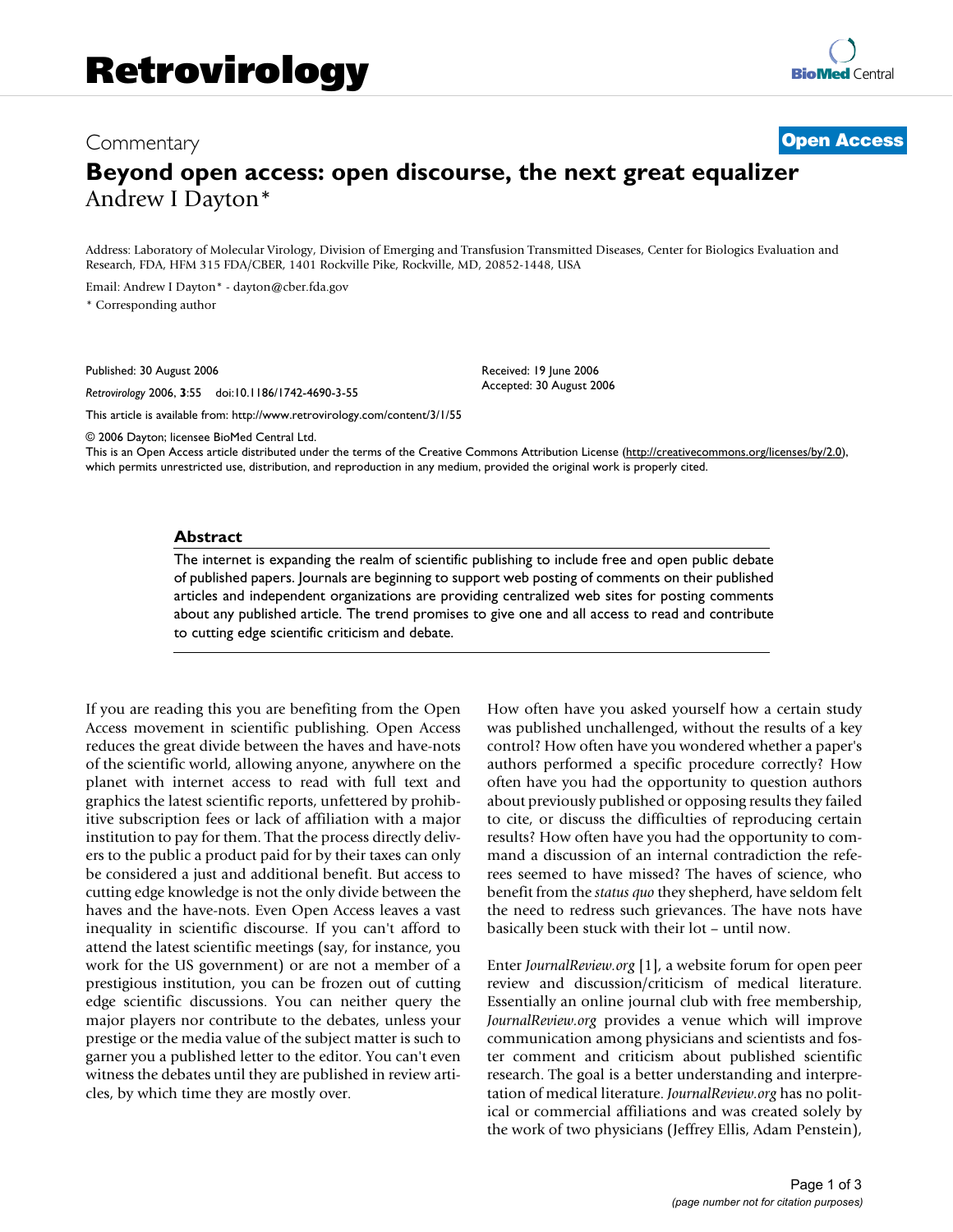# Commentary **[Open Access](http://www.biomedcentral.com/info/about/charter/) Beyond open access: open discourse, the next great equalizer** Andrew I Dayton\*

Address: Laboratory of Molecular Virology, Division of Emerging and Transfusion Transmitted Diseases, Center for Biologics Evaluation and Research, FDA, HFM 315 FDA/CBER, 1401 Rockville Pike, Rockville, MD, 20852-1448, USA

Email: Andrew I Dayton\* - dayton@cber.fda.gov

\* Corresponding author

Published: 30 August 2006

*Retrovirology* 2006, **3**:55 doi:10.1186/1742-4690-3-55

[This article is available from: http://www.retrovirology.com/content/3/1/55](http://www.retrovirology.com/content/3/1/55)

© 2006 Dayton; licensee BioMed Central Ltd.

This is an Open Access article distributed under the terms of the Creative Commons Attribution License [\(http://creativecommons.org/licenses/by/2.0\)](http://creativecommons.org/licenses/by/2.0), which permits unrestricted use, distribution, and reproduction in any medium, provided the original work is properly cited.

Received: 19 June 2006 Accepted: 30 August 2006

### **Abstract**

The internet is expanding the realm of scientific publishing to include free and open public debate of published papers. Journals are beginning to support web posting of comments on their published articles and independent organizations are providing centralized web sites for posting comments about any published article. The trend promises to give one and all access to read and contribute to cutting edge scientific criticism and debate.

If you are reading this you are benefiting from the Open Access movement in scientific publishing. Open Access reduces the great divide between the haves and have-nots of the scientific world, allowing anyone, anywhere on the planet with internet access to read with full text and graphics the latest scientific reports, unfettered by prohibitive subscription fees or lack of affiliation with a major institution to pay for them. That the process directly delivers to the public a product paid for by their taxes can only be considered a just and additional benefit. But access to cutting edge knowledge is not the only divide between the haves and the have-nots. Even Open Access leaves a vast inequality in scientific discourse. If you can't afford to attend the latest scientific meetings (say, for instance, you work for the US government) or are not a member of a prestigious institution, you can be frozen out of cutting edge scientific discussions. You can neither query the major players nor contribute to the debates, unless your prestige or the media value of the subject matter is such to garner you a published letter to the editor. You can't even witness the debates until they are published in review articles, by which time they are mostly over.

How often have you asked yourself how a certain study was published unchallenged, without the results of a key control? How often have you wondered whether a paper's authors performed a specific procedure correctly? How often have you had the opportunity to question authors about previously published or opposing results they failed to cite, or discuss the difficulties of reproducing certain results? How often have you had the opportunity to command a discussion of an internal contradiction the referees seemed to have missed? The haves of science, who benefit from the *status quo* they shepherd, have seldom felt the need to redress such grievances. The have nots have basically been stuck with their lot – until now.

Enter *JournalReview.org* [1], a website forum for open peer review and discussion/criticism of medical literature. Essentially an online journal club with free membership, *JournalReview.org* provides a venue which will improve communication among physicians and scientists and foster comment and criticism about published scientific research. The goal is a better understanding and interpretation of medical literature. *JournalReview.org* has no political or commercial affiliations and was created solely by the work of two physicians (Jeffrey Ellis, Adam Penstein),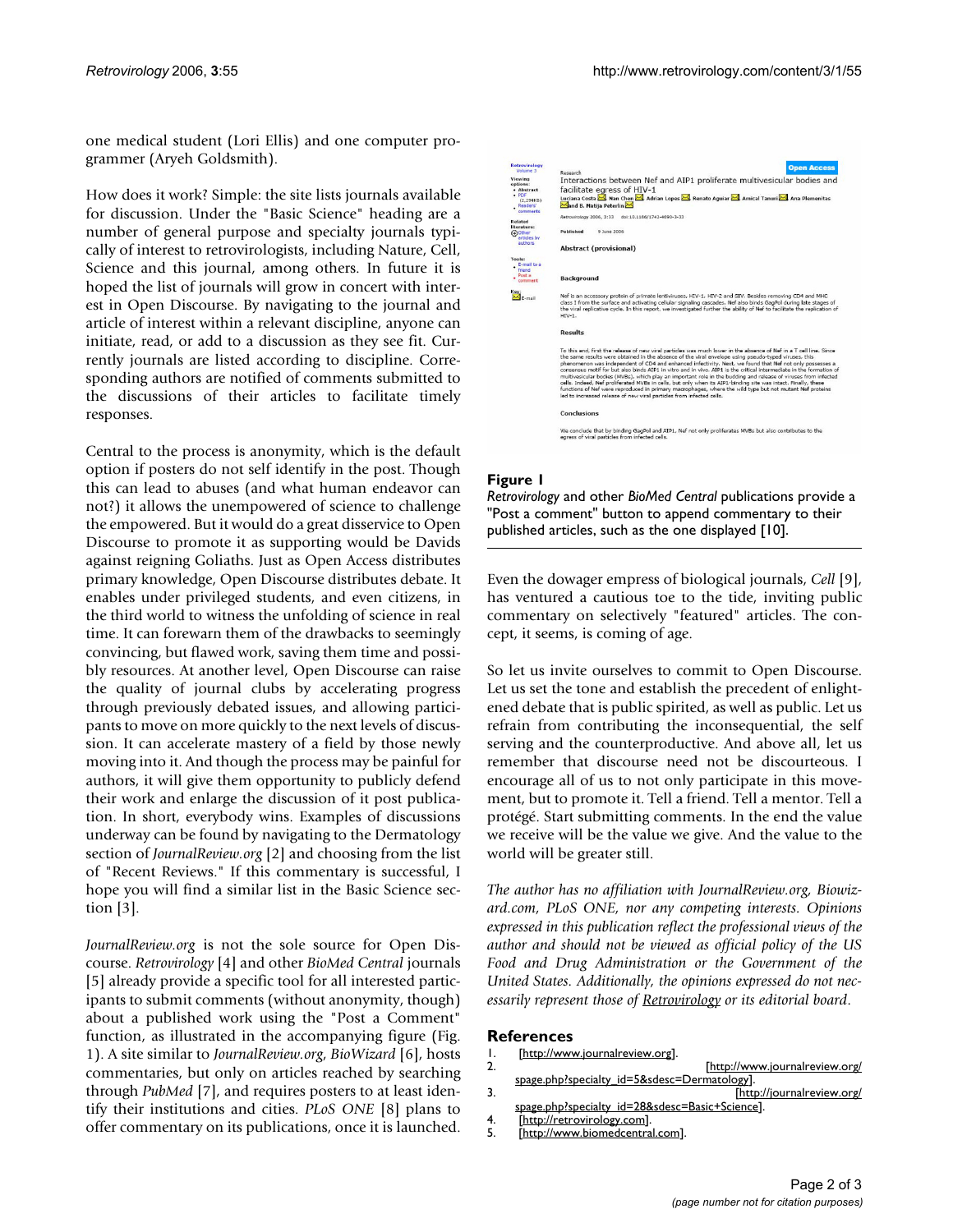one medical student (Lori Ellis) and one computer programmer (Aryeh Goldsmith).

How does it work? Simple: the site lists journals available for discussion. Under the "Basic Science" heading are a number of general purpose and specialty journals typically of interest to retrovirologists, including Nature, Cell, Science and this journal, among others. In future it is hoped the list of journals will grow in concert with interest in Open Discourse. By navigating to the journal and article of interest within a relevant discipline, anyone can initiate, read, or add to a discussion as they see fit. Currently journals are listed according to discipline. Corresponding authors are notified of comments submitted to the discussions of their articles to facilitate timely responses.

Central to the process is anonymity, which is the default option if posters do not self identify in the post. Though this can lead to abuses (and what human endeavor can not?) it allows the unempowered of science to challenge the empowered. But it would do a great disservice to Open Discourse to promote it as supporting would be Davids against reigning Goliaths. Just as Open Access distributes primary knowledge, Open Discourse distributes debate. It enables under privileged students, and even citizens, in the third world to witness the unfolding of science in real time. It can forewarn them of the drawbacks to seemingly convincing, but flawed work, saving them time and possibly resources. At another level, Open Discourse can raise the quality of journal clubs by accelerating progress through previously debated issues, and allowing participants to move on more quickly to the next levels of discussion. It can accelerate mastery of a field by those newly moving into it. And though the process may be painful for authors, it will give them opportunity to publicly defend their work and enlarge the discussion of it post publication. In short, everybody wins. Examples of discussions underway can be found by navigating to the Dermatology section of *JournalReview.org* [2] and choosing from the list of "Recent Reviews." If this commentary is successful, I hope you will find a similar list in the Basic Science section [3].

*JournalReview.org* is not the sole source for Open Discourse. *Retrovirology* [4] and other *BioMed Central* journals [5] already provide a specific tool for all interested participants to submit comments (without anonymity, though) about a published work using the "Post a Comment" function, as illustrated in the accompanying figure (Fig. 1). A site similar to *JournalReview.org*, *BioWizard* [6], hosts commentaries, but only on articles reached by searching through *PubMed* [7], and requires posters to at least identify their institutions and cities. *PLoS ONE* [8] plans to offer commentary on its publications, once it is launched.



# **Figure 1**

*Retrovirology* and other *BioMed Central* publications provide a "Post a comment" button to append commentary to their published articles, such as the one displayed [10].

Even the dowager empress of biological journals, *Cell* [9], has ventured a cautious toe to the tide, inviting public commentary on selectively "featured" articles. The concept, it seems, is coming of age.

So let us invite ourselves to commit to Open Discourse. Let us set the tone and establish the precedent of enlightened debate that is public spirited, as well as public. Let us refrain from contributing the inconsequential, the self serving and the counterproductive. And above all, let us remember that discourse need not be discourteous. I encourage all of us to not only participate in this movement, but to promote it. Tell a friend. Tell a mentor. Tell a protégé. Start submitting comments. In the end the value we receive will be the value we give. And the value to the world will be greater still.

*The author has no affiliation with JournalReview.org, Biowizard.com, PLoS ONE, nor any competing interests. Opinions expressed in this publication reflect the professional views of the author and should not be viewed as official policy of the US Food and Drug Administration or the Government of the United States. Additionally, the opinions expressed do not necessarily represent those of Retrovirology or its editorial board*.

## **References**

- 1. [[http://www.journalreview.org\]](http://www.journalreview.org).<br>2.
- [\[http://www.journalreview.org/](http://www.journalreview.org/spage.php?specialty_id=5&sdesc=Dermatology) [spage.php?specialty\\_id=5&sdesc=Dermatology](http://www.journalreview.org/spage.php?specialty_id=5&sdesc=Dermatology)]. 3. [\[http://journalreview.org/](http://journalreview.org/spage.php?specialty_id=28&sdesc=Basic+Science)
- [spage.php?specialty\\_id=28&sdesc=Basic+Science](http://journalreview.org/spage.php?specialty_id=28&sdesc=Basic+Science)].
- 4. [[http://retrovirology.com\]](http://retrovirology.com).<br>5. [http://www.biomedcentra
- [[http://www.biomedcentral.com\]](http://www.biomedcentral.com)